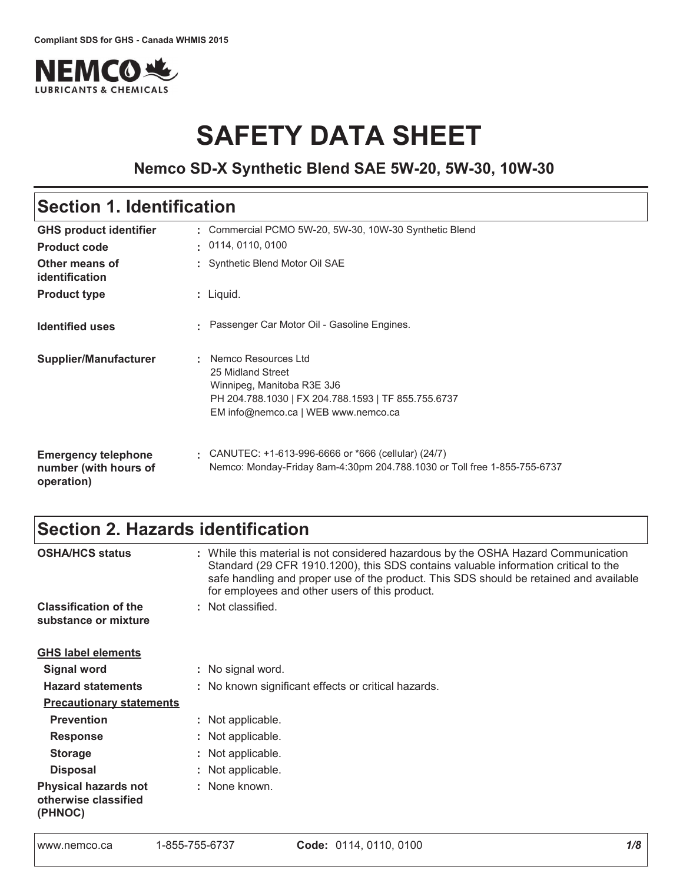

# **SAFETY DATA SHEET**

# **Nemco SD-X Synthetic Blend SAE 5W-20, 5W-30, 10W-30**

# Section 1. Identification

| <b>GHS product identifier</b>                                     | Commercial PCMO 5W-20, 5W-30, 10W-30 Synthetic Blend                                                                                                                 |  |  |  |  |  |
|-------------------------------------------------------------------|----------------------------------------------------------------------------------------------------------------------------------------------------------------------|--|--|--|--|--|
| <b>Product code</b>                                               | $\cdot$ 0114, 0110, 0100                                                                                                                                             |  |  |  |  |  |
| Other means of<br><i>identification</i>                           | : Synthetic Blend Motor Oil SAE                                                                                                                                      |  |  |  |  |  |
| <b>Product type</b>                                               | : Liquid.                                                                                                                                                            |  |  |  |  |  |
| <b>Identified uses</b>                                            | Passenger Car Motor Oil - Gasoline Engines.                                                                                                                          |  |  |  |  |  |
| Supplier/Manufacturer                                             | Nemco Resources Ltd<br>25 Midland Street<br>Winnipeg, Manitoba R3E 3J6<br>PH 204.788.1030   FX 204.788.1593   TF 855.755.6737<br>EM info@nemco.ca   WEB www.nemco.ca |  |  |  |  |  |
| <b>Emergency telephone</b><br>number (with hours of<br>operation) | CANUTEC: $+1-613-996-6666$ or $*666$ (cellular) (24/7)<br>Nemco: Monday-Friday 8am-4:30pm 204.788.1030 or Toll free 1-855-755-6737                                   |  |  |  |  |  |

# Section 2. Hazards identification

| <b>OSHA/HCS status</b>                                         | : While this material is not considered hazardous by the OSHA Hazard Communication<br>Standard (29 CFR 1910.1200), this SDS contains valuable information critical to the<br>safe handling and proper use of the product. This SDS should be retained and available<br>for employees and other users of this product. |  |  |  |  |  |
|----------------------------------------------------------------|-----------------------------------------------------------------------------------------------------------------------------------------------------------------------------------------------------------------------------------------------------------------------------------------------------------------------|--|--|--|--|--|
| <b>Classification of the</b><br>substance or mixture           | : Not classified.                                                                                                                                                                                                                                                                                                     |  |  |  |  |  |
| <b>GHS label elements</b>                                      |                                                                                                                                                                                                                                                                                                                       |  |  |  |  |  |
| <b>Signal word</b>                                             | : No signal word.                                                                                                                                                                                                                                                                                                     |  |  |  |  |  |
| <b>Hazard statements</b>                                       | : No known significant effects or critical hazards.                                                                                                                                                                                                                                                                   |  |  |  |  |  |
| <b>Precautionary statements</b>                                |                                                                                                                                                                                                                                                                                                                       |  |  |  |  |  |
| <b>Prevention</b>                                              | : Not applicable.                                                                                                                                                                                                                                                                                                     |  |  |  |  |  |
| <b>Response</b>                                                | : Not applicable.                                                                                                                                                                                                                                                                                                     |  |  |  |  |  |
| <b>Storage</b>                                                 | : Not applicable.                                                                                                                                                                                                                                                                                                     |  |  |  |  |  |
| <b>Disposal</b>                                                | : Not applicable.                                                                                                                                                                                                                                                                                                     |  |  |  |  |  |
| <b>Physical hazards not</b><br>otherwise classified<br>(PHNOC) | : None known.                                                                                                                                                                                                                                                                                                         |  |  |  |  |  |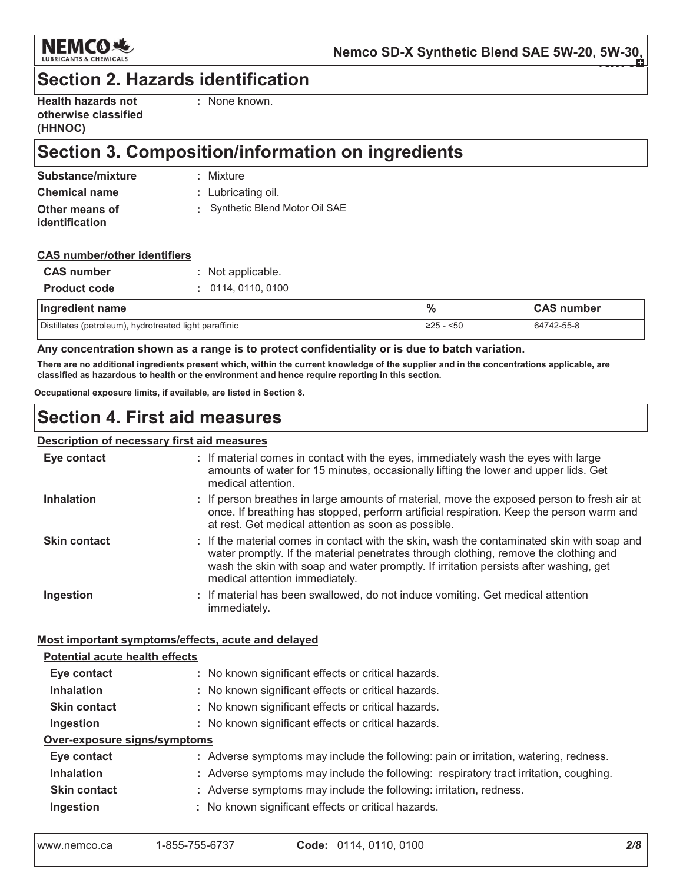

# **Section 2. Hazards identification**

| <b>Health hazards not</b> |
|---------------------------|
| otherwise classified      |
| (HHNOC)                   |

: None known.

# Section 3. Composition/information on ingredients

| Substance/mixture    | : Mixture                     |
|----------------------|-------------------------------|
| <b>Chemical name</b> | : Lubricating oil.            |
| Other means of       | Synthetic Blend Motor Oil SAE |
| identification       |                               |

### **CAS number/other identifiers**

| <b>CAS</b> number   | : Not applicable. |
|---------------------|-------------------|
| <b>Product code</b> | : 0114.0110.0100  |

| Ingredient name                                        | $\%$           | <b>CAS number</b> |
|--------------------------------------------------------|----------------|-------------------|
| Distillates (petroleum), hydrotreated light paraffinic | .≥25 -<br>$50$ | 64742-55-8        |

### Any concentration shown as a range is to protect confidentiality or is due to batch variation.

There are no additional ingredients present which, within the current knowledge of the supplier and in the concentrations applicable, are classified as hazardous to health or the environment and hence require reporting in this section.

Occupational exposure limits, if available, are listed in Section 8.

# **Section 4. First aid measures**

### **Description of necessary first aid measures**

| Eye contact                                        | : If material comes in contact with the eyes, immediately wash the eyes with large<br>amounts of water for 15 minutes, occasionally lifting the lower and upper lids. Get<br>medical attention.                                                                                                               |  |  |  |  |
|----------------------------------------------------|---------------------------------------------------------------------------------------------------------------------------------------------------------------------------------------------------------------------------------------------------------------------------------------------------------------|--|--|--|--|
| <b>Inhalation</b>                                  | : If person breathes in large amounts of material, move the exposed person to fresh air at<br>once. If breathing has stopped, perform artificial respiration. Keep the person warm and<br>at rest. Get medical attention as soon as possible.                                                                 |  |  |  |  |
| <b>Skin contact</b>                                | : If the material comes in contact with the skin, wash the contaminated skin with soap and<br>water promptly. If the material penetrates through clothing, remove the clothing and<br>wash the skin with soap and water promptly. If irritation persists after washing, get<br>medical attention immediately. |  |  |  |  |
| Ingestion                                          | : If material has been swallowed, do not induce vomiting. Get medical attention<br>immediately.                                                                                                                                                                                                               |  |  |  |  |
| Most important symptoms/effects, acute and delayed |                                                                                                                                                                                                                                                                                                               |  |  |  |  |
| <b>Potential acute health effects</b>              |                                                                                                                                                                                                                                                                                                               |  |  |  |  |
|                                                    |                                                                                                                                                                                                                                                                                                               |  |  |  |  |
| Eye contact                                        | : No known significant effects or critical hazards.                                                                                                                                                                                                                                                           |  |  |  |  |
| <b>Inhalation</b>                                  | : No known significant effects or critical hazards.                                                                                                                                                                                                                                                           |  |  |  |  |
| <b>Skin contact</b>                                | : No known significant effects or critical hazards.                                                                                                                                                                                                                                                           |  |  |  |  |
| Ingestion                                          | : No known significant effects or critical hazards.                                                                                                                                                                                                                                                           |  |  |  |  |
| Over-exposure signs/symptoms                       |                                                                                                                                                                                                                                                                                                               |  |  |  |  |
| Eye contact                                        | : Adverse symptoms may include the following: pain or irritation, watering, redness.                                                                                                                                                                                                                          |  |  |  |  |
| <b>Inhalation</b>                                  | : Adverse symptoms may include the following: respiratory tract irritation, coughing.                                                                                                                                                                                                                         |  |  |  |  |
| <b>Skin contact</b>                                | : Adverse symptoms may include the following: irritation, redness.                                                                                                                                                                                                                                            |  |  |  |  |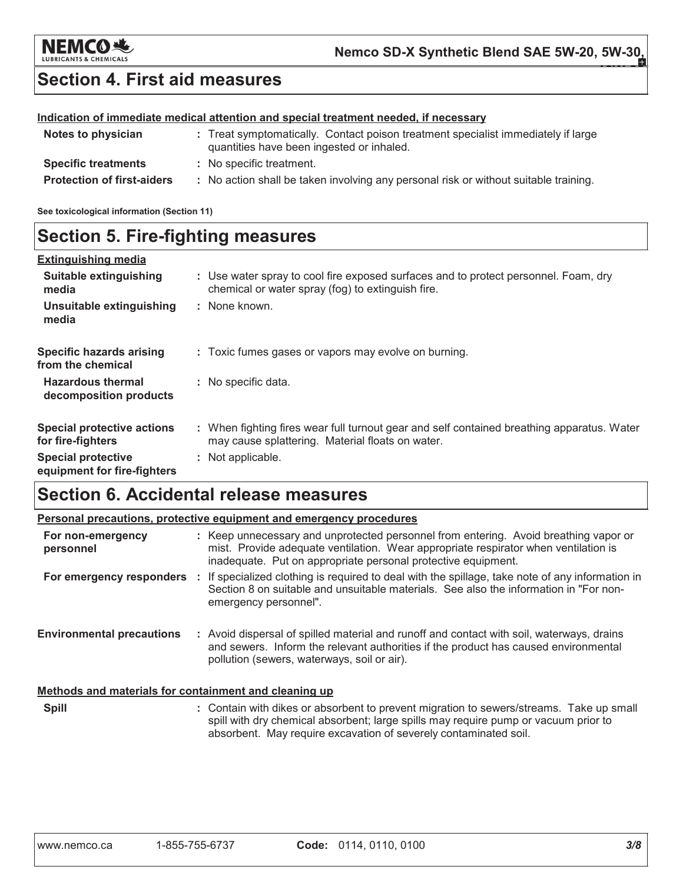

# **Section 4. First aid measures**

### Indication of immediate medical attention and special treatment needed, if necessary

| Notes to physician                | : Treat symptomatically. Contact poison treatment specialist immediately if large<br>quantities have been ingested or inhaled. |
|-----------------------------------|--------------------------------------------------------------------------------------------------------------------------------|
| <b>Specific treatments</b>        | : No specific treatment.                                                                                                       |
| <b>Protection of first-aiders</b> | : No action shall be taken involving any personal risk or without suitable training.                                           |

See toxicological information (Section 11)

# **Section 5. Fire-fighting measures**

| <b>Extinguishing media</b>                               |                                                                                                                                                |
|----------------------------------------------------------|------------------------------------------------------------------------------------------------------------------------------------------------|
| Suitable extinguishing<br>media                          | : Use water spray to cool fire exposed surfaces and to protect personnel. Foam, dry<br>chemical or water spray (fog) to extinguish fire.       |
| Unsuitable extinguishing<br>media                        | : None known.                                                                                                                                  |
| <b>Specific hazards arising</b><br>from the chemical     | : Toxic fumes gases or vapors may evolve on burning.                                                                                           |
| <b>Hazardous thermal</b><br>decomposition products       | : No specific data.                                                                                                                            |
| <b>Special protective actions</b><br>for fire-fighters   | : When fighting fires wear full turnout gear and self contained breathing apparatus. Water<br>may cause splattering. Material floats on water. |
| <b>Special protective</b><br>equipment for fire-fighters | : Not applicable.                                                                                                                              |

# **Section 6. Accidental release measures**

|                                                       | Personal precautions, protective equipment and emergency procedures                                                                                                                                                                                |  |  |  |  |  |
|-------------------------------------------------------|----------------------------------------------------------------------------------------------------------------------------------------------------------------------------------------------------------------------------------------------------|--|--|--|--|--|
| For non-emergency<br>personnel                        | : Keep unnecessary and unprotected personnel from entering. Avoid breathing vapor or<br>mist. Provide adequate ventilation. Wear appropriate respirator when ventilation is<br>inadequate. Put on appropriate personal protective equipment.       |  |  |  |  |  |
|                                                       | For emergency responders : If specialized clothing is required to deal with the spillage, take note of any information in<br>Section 8 on suitable and unsuitable materials. See also the information in "For non-<br>emergency personnel".        |  |  |  |  |  |
| <b>Environmental precautions</b>                      | : Avoid dispersal of spilled material and runoff and contact with soil, waterways, drains<br>and sewers. Inform the relevant authorities if the product has caused environmental<br>pollution (sewers, waterways, soil or air).                    |  |  |  |  |  |
| Methods and materials for containment and cleaning up |                                                                                                                                                                                                                                                    |  |  |  |  |  |
| <b>Spill</b>                                          | : Contain with dikes or absorbent to prevent migration to sewers/streams. Take up small<br>spill with dry chemical absorbent; large spills may require pump or vacuum prior to<br>absorbent. May require excavation of severely contaminated soil. |  |  |  |  |  |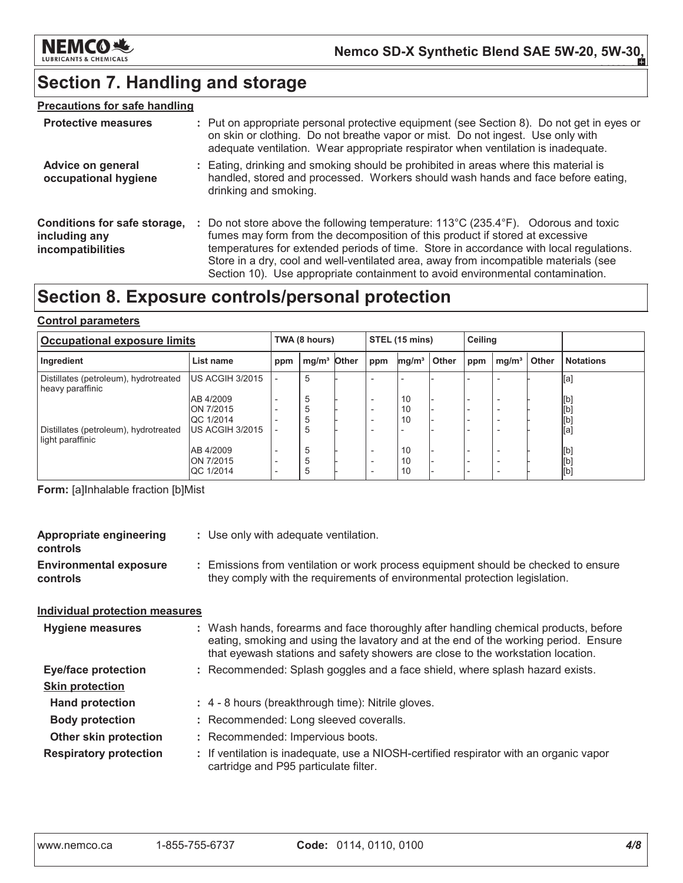

# Section 7. Handling and storage

### **Precautions for safe handling**

| <b>Protective measures</b>                                         | : Put on appropriate personal protective equipment (see Section 8). Do not get in eyes or<br>on skin or clothing. Do not breathe vapor or mist. Do not ingest. Use only with<br>adequate ventilation. Wear appropriate respirator when ventilation is inadequate.                                                                                                                                                                                           |
|--------------------------------------------------------------------|-------------------------------------------------------------------------------------------------------------------------------------------------------------------------------------------------------------------------------------------------------------------------------------------------------------------------------------------------------------------------------------------------------------------------------------------------------------|
| <b>Advice on general</b><br>occupational hygiene                   | : Eating, drinking and smoking should be prohibited in areas where this material is<br>handled, stored and processed. Workers should wash hands and face before eating,<br>drinking and smoking.                                                                                                                                                                                                                                                            |
| Conditions for safe storage,<br>including any<br>incompatibilities | : Do not store above the following temperature: $113^{\circ}$ C (235.4 $^{\circ}$ F). Odorous and toxic<br>fumes may form from the decomposition of this product if stored at excessive<br>temperatures for extended periods of time. Store in accordance with local regulations.<br>Store in a dry, cool and well-ventilated area, away from incompatible materials (see<br>Section 10). Use appropriate containment to avoid environmental contamination. |

# Section 8. Exposure controls/personal protection

### **Control parameters**

| <b>Occupational exposure limits</b>                       |                               |                          | TWA (8 hours)           |  |                          | STEL (15 mins)    |       |     | Ceiling           |              |                  |
|-----------------------------------------------------------|-------------------------------|--------------------------|-------------------------|--|--------------------------|-------------------|-------|-----|-------------------|--------------|------------------|
| Ingredient                                                | List name                     | ppm                      | mg/m <sup>3</sup> Other |  | ppm                      | mg/m <sup>3</sup> | Other | ppm | mg/m <sup>3</sup> | <b>Other</b> | <b>Notations</b> |
| Distillates (petroleum), hydrotreated<br>heavy paraffinic | US ACGIH 3/2015               |                          | 5                       |  |                          |                   |       |     |                   |              | [a]              |
|                                                           | AB 4/2009                     |                          | 5                       |  |                          | 10                |       |     |                   |              | [b]              |
|                                                           | ON 7/2015<br><b>QC 1/2014</b> |                          | 5<br>5                  |  |                          | 10<br>10          |       |     |                   |              | [b]<br>[b]       |
| Distillates (petroleum), hydrotreated<br>light paraffinic | US ACGIH 3/2015               |                          | 5                       |  |                          |                   |       |     |                   |              | [a]              |
|                                                           | AB 4/2009<br>ON 7/2015        | $\overline{\phantom{a}}$ | 5                       |  | $\overline{\phantom{a}}$ | 10<br>10          |       |     |                   |              | [b]              |
|                                                           | <b>QC 1/2014</b>              |                          | b                       |  |                          | 10                |       |     |                   |              | [b]<br>[b]       |

Form: [a]Inhalable fraction [b]Mist

| <b>Appropriate engineering</b><br>controls | : Use only with adequate ventilation.                                                                                                                                                                                                                         |
|--------------------------------------------|---------------------------------------------------------------------------------------------------------------------------------------------------------------------------------------------------------------------------------------------------------------|
| <b>Environmental exposure</b><br>controls  | : Emissions from ventilation or work process equipment should be checked to ensure<br>they comply with the requirements of environmental protection legislation.                                                                                              |
| <b>Individual protection measures</b>      |                                                                                                                                                                                                                                                               |
| Hygiene measures                           | : Wash hands, forearms and face thoroughly after handling chemical products, before<br>eating, smoking and using the lavatory and at the end of the working period. Ensure<br>that eyewash stations and safety showers are close to the workstation location. |
| <b>Eye/face protection</b>                 | : Recommended: Splash goggles and a face shield, where splash hazard exists.                                                                                                                                                                                  |
| <b>Skin protection</b>                     |                                                                                                                                                                                                                                                               |
| <b>Hand protection</b>                     | : 4 - 8 hours (breakthrough time): Nitrile gloves.                                                                                                                                                                                                            |
| <b>Body protection</b>                     | : Recommended: Long sleeved coveralls.                                                                                                                                                                                                                        |
| <b>Other skin protection</b>               | : Recommended: Impervious boots.                                                                                                                                                                                                                              |
| <b>Respiratory protection</b>              | : If ventilation is inadequate, use a NIOSH-certified respirator with an organic vapor<br>cartridge and P95 particulate filter.                                                                                                                               |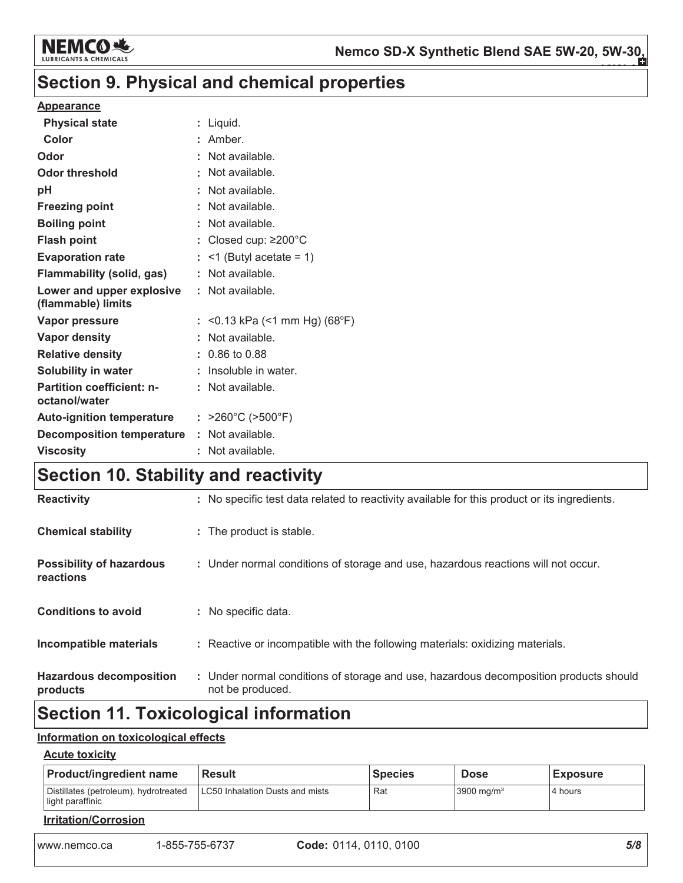

# Section 9. Physical and chemical properties

### **Appearance**

| <b>Physical state</b>                             | : Liquid.                             |
|---------------------------------------------------|---------------------------------------|
| Color                                             | : Amber.                              |
| Odor                                              | : Not available.                      |
| <b>Odor threshold</b>                             | : Not available.                      |
| pH                                                | : Not available.                      |
| <b>Freezing point</b>                             | : Not available.                      |
| <b>Boiling point</b>                              | : Not available.                      |
| <b>Flash point</b>                                | : Closed cup: $\geq$ 200 $^{\circ}$ C |
| <b>Evaporation rate</b>                           | $:$ <1 (Butyl acetate = 1)            |
| <b>Flammability (solid, gas)</b>                  | : Not available.                      |
| Lower and upper explosive<br>(flammable) limits   | : Not available.                      |
| <b>Vapor pressure</b>                             | : <0.13 kPa (<1 mm Hg) (68°F)         |
| <b>Vapor density</b>                              | : Not available.                      |
| <b>Relative density</b>                           | $: 0.86$ to 0.88                      |
| Solubility in water                               | : Insoluble in water.                 |
| <b>Partition coefficient: n-</b><br>octanol/water | : Not available.                      |
| <b>Auto-ignition temperature</b>                  | : $>260^{\circ}C$ ( $>500^{\circ}F$ ) |
| <b>Decomposition temperature</b>                  | : Not available.                      |
| <b>Viscosity</b>                                  | : Not available.                      |

# Section 10. Stability and reactivity

| <b>Reactivity</b>                            | : No specific test data related to reactivity available for this product or its ingredients.              |
|----------------------------------------------|-----------------------------------------------------------------------------------------------------------|
| <b>Chemical stability</b>                    | : The product is stable.                                                                                  |
| <b>Possibility of hazardous</b><br>reactions | : Under normal conditions of storage and use, hazardous reactions will not occur.                         |
| <b>Conditions to avoid</b>                   | : No specific data.                                                                                       |
| Incompatible materials                       | : Reactive or incompatible with the following materials: oxidizing materials.                             |
| <b>Hazardous decomposition</b><br>products   | : Under normal conditions of storage and use, hazardous decomposition products should<br>not be produced. |
|                                              |                                                                                                           |

# **Section 11. Toxicological information**

### Information on toxicological effects

### **Acute toxicity**

| <b>Product/ingredient name</b>                            | <b>Result</b>                   | <b>Species</b> | <b>Dose</b>              | <b>Exposure</b> |  |  |
|-----------------------------------------------------------|---------------------------------|----------------|--------------------------|-----------------|--|--|
| Distillates (petroleum), hydrotreated<br>light paraffinic | LC50 Inhalation Dusts and mists | Rat            | $3900$ mg/m <sup>3</sup> | 4 hours         |  |  |
| <b>Irritation/Corrosion</b>                               |                                 |                |                          |                 |  |  |

www.nemco.ca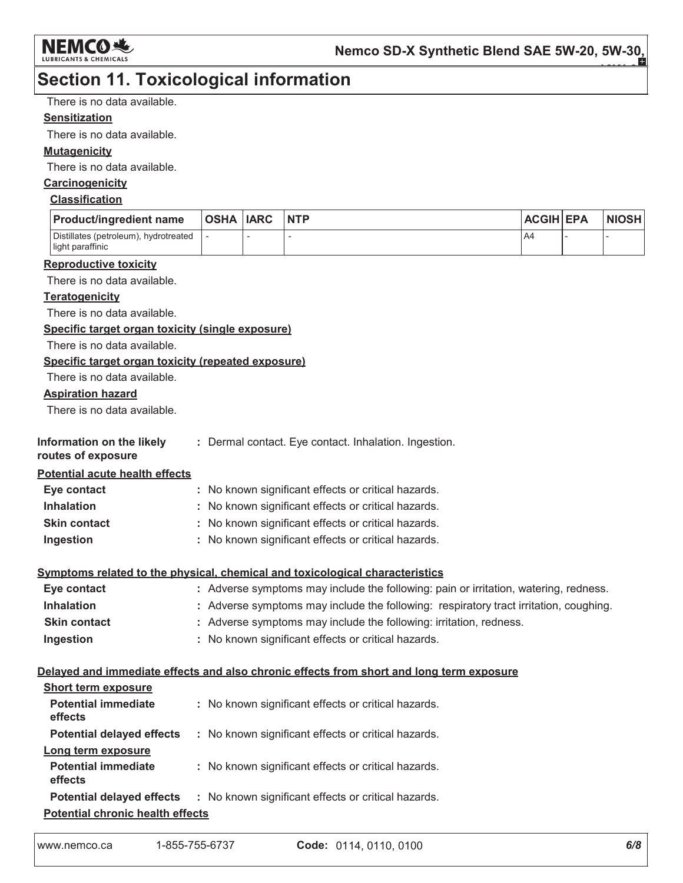

# **Section 11. Toxicological information**

There is no data available.

### **Sensitization**

There is no data available.

### **Mutagenicity**

There is no data available.

### Carcinogenicity

### **Classification**

| <b>Product/ingredient name</b>                            | <b>OSHA IARC</b> | <b>NTP</b> | <b>ACGIH EPA</b> | <b>NIOSH</b> |
|-----------------------------------------------------------|------------------|------------|------------------|--------------|
| Distillates (petroleum), hydrotreated<br>light paraffinic |                  |            | A4               |              |

#### **Reproductive toxicity**

There is no data available.

### **Teratogenicity**

There is no data available.

### Specific target organ toxicity (single exposure)

There is no data available.

### Specific target organ toxicity (repeated exposure)

There is no data available.

### **Aspiration hazard**

There is no data available.

| Information on the likely | : Dermal contact. Eye contact. Inhalation. Ingestion |  |  |
|---------------------------|------------------------------------------------------|--|--|
|                           |                                                      |  |  |

### routes of exposure

**Potential acute health effects** 

| Eye contact         | : No known significant effects or critical hazards. |
|---------------------|-----------------------------------------------------|
| <b>Inhalation</b>   | : No known significant effects or critical hazards. |
| <b>Skin contact</b> | : No known significant effects or critical hazards. |
| Ingestion           | : No known significant effects or critical hazards. |

### Symptoms related to the physical, chemical and toxicological characteristics

| Eye contact         | : Adverse symptoms may include the following: pain or irritation, watering, redness.  |
|---------------------|---------------------------------------------------------------------------------------|
| <b>Inhalation</b>   | : Adverse symptoms may include the following: respiratory tract irritation, coughing. |
| <b>Skin contact</b> | : Adverse symptoms may include the following: irritation, redness.                    |
| Ingestion           | : No known significant effects or critical hazards.                                   |

### Delayed and immediate effects and also chronic effects from short and long term exposure

| <b>Short term exposure</b>              |                                                                                      |  |
|-----------------------------------------|--------------------------------------------------------------------------------------|--|
| <b>Potential immediate</b><br>effects   | : No known significant effects or critical hazards.                                  |  |
| <b>Potential delayed effects</b>        | : No known significant effects or critical hazards.                                  |  |
| Long term exposure                      |                                                                                      |  |
| <b>Potential immediate</b><br>effects   | : No known significant effects or critical hazards.                                  |  |
|                                         | <b>Potential delayed effects : No known significant effects or critical hazards.</b> |  |
| <b>Potential chronic health effects</b> |                                                                                      |  |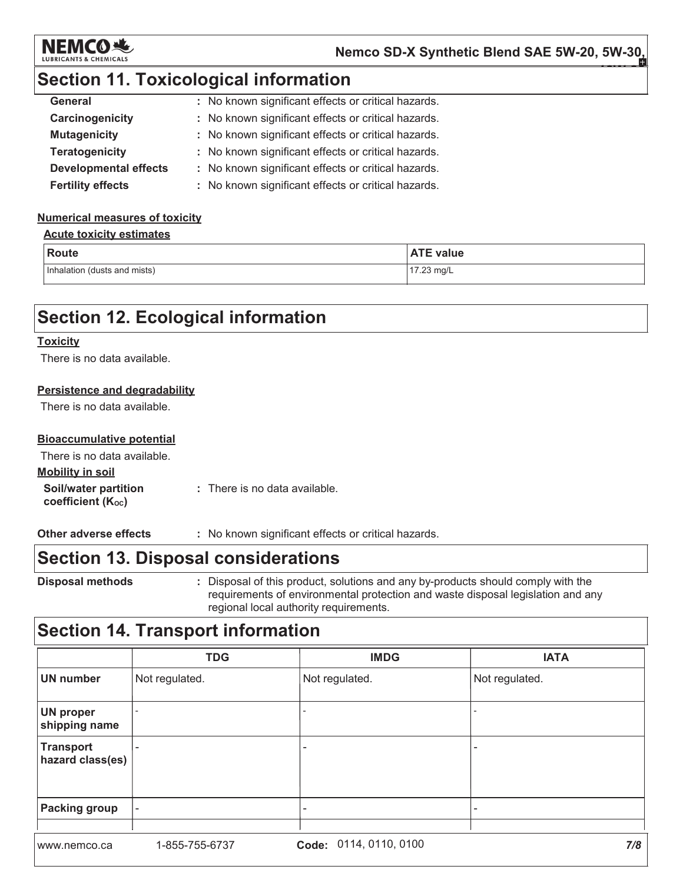

# **Section 11. Toxicological information**

| General                      | : No known significant effects or critical hazards. |
|------------------------------|-----------------------------------------------------|
| Carcinogenicity              | : No known significant effects or critical hazards. |
| <b>Mutagenicity</b>          | : No known significant effects or critical hazards. |
| <b>Teratogenicity</b>        | : No known significant effects or critical hazards. |
| <b>Developmental effects</b> | : No known significant effects or critical hazards. |
| <b>Fertility effects</b>     | : No known significant effects or critical hazards. |

### **Numerical measures of toxicity**

### **Acute toxicity estimates**

| Route                        | <b>ATE value</b> |
|------------------------------|------------------|
| Inhalation (dusts and mists) | 17.23 mg/L       |

# **Section 12. Ecological information**

### **Toxicity**

There is no data available.

### **Persistence and degradability**

There is no data available.

### **Bioaccumulative potential**

| There is no data available.                                   |                               |
|---------------------------------------------------------------|-------------------------------|
| <b>Mobility in soil</b>                                       |                               |
| <b>Soil/water partition</b><br>coefficient (K <sub>oc</sub> ) | : There is no data available. |

Other adverse effects : No known significant effects or critical hazards.

# **Section 13. Disposal considerations**

**Disposal methods** 

: Disposal of this product, solutions and any by-products should comply with the requirements of environmental protection and waste disposal legislation and any regional local authority requirements.

# **Section 14. Transport information**

|                                      | <b>TDG</b>               | <b>IMDG</b>               | <b>IATA</b>    |
|--------------------------------------|--------------------------|---------------------------|----------------|
| <b>UN number</b>                     | Not regulated.           | Not regulated.            | Not regulated. |
| UN proper<br>shipping name           |                          |                           |                |
| <b>Transport</b><br>hazard class(es) | $\overline{\phantom{0}}$ |                           |                |
| <b>Packing group</b>                 | $\overline{\phantom{a}}$ | -                         |                |
| www.nemco.ca                         | 1-855-755-6737           | 0114, 0110, 0100<br>Code: | 7/8            |